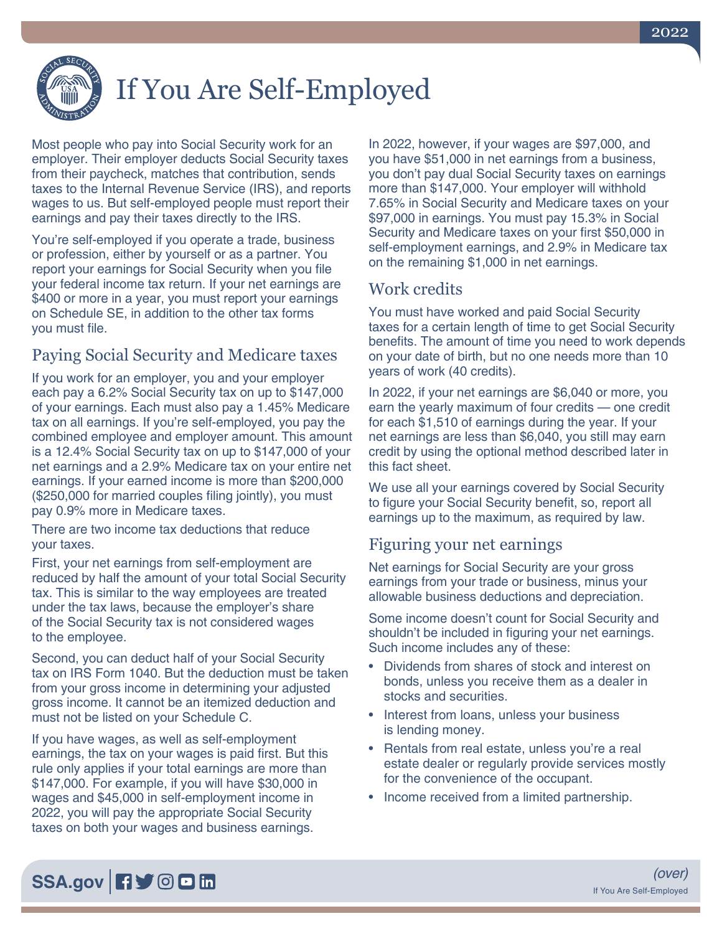

# If You Are Self-Employed

Most people who pay into Social Security work for an employer. Their employer deducts Social Security taxes from their paycheck, matches that contribution, sends taxes to the Internal Revenue Service (IRS), and reports wages to us. But self-employed people must report their earnings and pay their taxes directly to the IRS.

You're self-employed if you operate a trade, business or profession, either by yourself or as a partner. You report your earnings for Social Security when you file your federal income tax return. If your net earnings are \$400 or more in a year, you must report your earnings on Schedule SE, in addition to the other tax forms you must file.

# Paying Social Security and Medicare taxes

If you work for an employer, you and your employer each pay a 6.2% Social Security tax on up to \$147,000 of your earnings. Each must also pay a 1.45% Medicare tax on all earnings. If you're self-employed, you pay the combined employee and employer amount. This amount is a 12.4% Social Security tax on up to \$147,000 of your net earnings and a 2.9% Medicare tax on your entire net earnings. If your earned income is more than \$200,000 (\$250,000 for married couples filing jointly), you must pay 0.9% more in Medicare taxes.

There are two income tax deductions that reduce your taxes.

First, your net earnings from self-employment are reduced by half the amount of your total Social Security tax. This is similar to the way employees are treated under the tax laws, because the employer's share of the Social Security tax is not considered wages to the employee.

Second, you can deduct half of your Social Security tax on IRS Form 1040. But the deduction must be taken from your gross income in determining your adjusted gross income. It cannot be an itemized deduction and must not be listed on your Schedule C.

If you have wages, as well as self-employment earnings, the tax on your wages is paid first. But this rule only applies if your total earnings are more than \$147,000. For example, if you will have \$30,000 in wages and \$45,000 in self-employment income in 2022, you will pay the appropriate Social Security taxes on both your wages and business earnings.

In 2022, however, if your wages are \$97,000, and you have \$51,000 in net earnings from a business, you don't pay dual Social Security taxes on earnings more than \$147,000. Your employer will withhold 7.65% in Social Security and Medicare taxes on your \$97,000 in earnings. You must pay 15.3% in Social Security and Medicare taxes on your first \$50,000 in self-employment earnings, and 2.9% in Medicare tax on the remaining \$1,000 in net earnings.

## Work credits

You must have worked and paid Social Security taxes for a certain length of time to get Social Security benefits. The amount of time you need to work depends on your date of birth, but no one needs more than 10 years of work (40 credits).

In 2022, if your net earnings are \$6,040 or more, you earn the yearly maximum of four credits — one credit for each \$1,510 of earnings during the year. If your net earnings are less than \$6,040, you still may earn credit by using the optional method described later in this fact sheet.

We use all your earnings covered by Social Security to figure your Social Security benefit, so, report all earnings up to the maximum, as required by law.

## Figuring your net earnings

Net earnings for Social Security are your gross earnings from your trade or business, minus your allowable business deductions and depreciation.

Some income doesn't count for Social Security and shouldn't be included in figuring your net earnings. Such income includes any of these:

- Dividends from shares of stock and interest on bonds, unless you receive them as a dealer in stocks and securities.
- Interest from loans, unless your business is lending money.
- Rentals from real estate, unless you're a real estate dealer or regularly provide services mostly for the convenience of the occupant.
- Income received from a limited partnership.